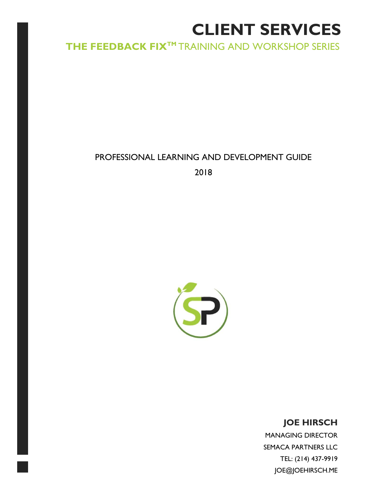# **CLIENT SERVICES**

**THE FEEDBACK FIXTM** TRAINING AND WORKSHOP SERIES

# PROFESSIONAL LEARNING AND DEVELOPMENT GUIDE 2018



# **JOE HIRSCH**

MANAGING DIRECTOR SEMACA PARTNERS LLC TEL: (214) 437-9919 JOE@JOEHIRSCH.ME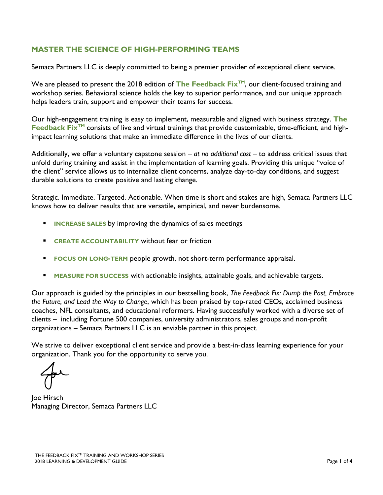# **MASTER THE SCIENCE OF HIGH-PERFORMING TEAMS**

Semaca Partners LLC is deeply committed to being a premier provider of exceptional client service.

We are pleased to present the 2018 edition of **The Feedback Fix**<sup>™</sup>, our client-focused training and workshop series. Behavioral science holds the key to superior performance, and our unique approach helps leaders train, support and empower their teams for success.

Our high-engagement training is easy to implement, measurable and aligned with business strategy. **The Feedback FixTM** consists of live and virtual trainings that provide customizable, time-efficient, and highimpact learning solutions that make an immediate difference in the lives of our clients.

Additionally, we offer a voluntary capstone session – *at no additional cost* – to address critical issues that unfold during training and assist in the implementation of learning goals. Providing this unique "voice of the client" service allows us to internalize client concerns, analyze day-to-day conditions, and suggest durable solutions to create positive and lasting change.

Strategic. Immediate. Targeted. Actionable. When time is short and stakes are high, Semaca Partners LLC knows how to deliver results that are versatile, empirical, and never burdensome.

- **INCREASE SALES** by improving the dynamics of sales meetings
- **CREATE ACCOUNTABILITY** without fear or friction
- **FOCUS ON LONG-TERM** people growth, not short-term performance appraisal.
- **EXECT** MEASURE FOR SUCCESS with actionable insights, attainable goals, and achievable targets.

Our approach is guided by the principles in our bestselling book, *The Feedback Fix: Dump the Past, Embrace the Future, and Lead the Way to Change*, which has been praised by top-rated CEOs, acclaimed business coaches, NFL consultants, and educational reformers. Having successfully worked with a diverse set of clients – including Fortune 500 companies, university administrators, sales groups and non-profit organizations – Semaca Partners LLC is an enviable partner in this project.

We strive to deliver exceptional client service and provide a best-in-class learning experience for your organization. Thank you for the opportunity to serve you.

Joe Hirsch Managing Director, Semaca Partners LLC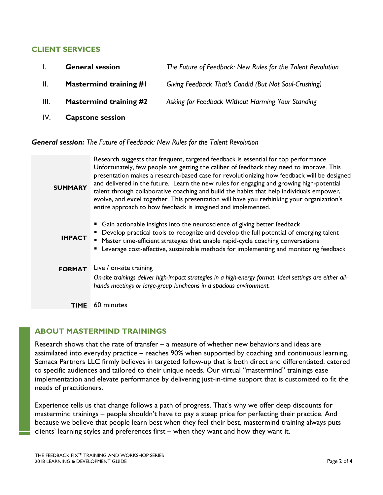#### **CLIENT SERVICES**

|      | <b>General session</b>        | The Future of Feedback: New Rules for the Talent Revolution |
|------|-------------------------------|-------------------------------------------------------------|
| II.  | Mastermind training #I        | Giving Feedback That's Candid (But Not Soul-Crushing)       |
| III. | <b>Mastermind training #2</b> | Asking for Feedback Without Harming Your Standing           |
| IV.  | <b>Capstone session</b>       |                                                             |

*General session: The Future of Feedback: New Rules for the Talent Revolution*

| <b>SUMMARY</b> | Research suggests that frequent, targeted feedback is essential for top performance.<br>Unfortunately, few people are getting the caliber of feedback they need to improve. This<br>presentation makes a research-based case for revolutionizing how feedback will be designed<br>and delivered in the future. Learn the new rules for engaging and growing high-potential<br>talent through collaborative coaching and build the habits that help individuals empower,<br>evolve, and excel together. This presentation will have you rethinking your organization's<br>entire approach to how feedback is imagined and implemented. |
|----------------|---------------------------------------------------------------------------------------------------------------------------------------------------------------------------------------------------------------------------------------------------------------------------------------------------------------------------------------------------------------------------------------------------------------------------------------------------------------------------------------------------------------------------------------------------------------------------------------------------------------------------------------|
| <b>IMPACT</b>  | • Gain actionable insights into the neuroscience of giving better feedback<br>• Develop practical tools to recognize and develop the full potential of emerging talent<br>■ Master time-efficient strategies that enable rapid-cycle coaching conversations<br><b>Example 2</b> Leverage cost-effective, sustainable methods for implementing and monitoring feedback                                                                                                                                                                                                                                                                 |
| <b>FORMAT</b>  | Live / on-site training<br>On-site trainings deliver high-impact strategies in a high-energy format. Ideal settings are either all-<br>hands meetings or large-group luncheons in a spacious environment.                                                                                                                                                                                                                                                                                                                                                                                                                             |
| <b>TIME</b>    | 60 minutes                                                                                                                                                                                                                                                                                                                                                                                                                                                                                                                                                                                                                            |

### **ABOUT MASTERMIND TRAININGS**

Research shows that the rate of transfer – a measure of whether new behaviors and ideas are assimilated into everyday practice – reaches 90% when supported by coaching and continuous learning. Semaca Partners LLC firmly believes in targeted follow-up that is both direct and differentiated: catered to specific audiences and tailored to their unique needs. Our virtual "mastermind" trainings ease implementation and elevate performance by delivering just-in-time support that is customized to fit the needs of practitioners.

Experience tells us that change follows a path of progress. That's why we offer deep discounts for mastermind trainings – people shouldn't have to pay a steep price for perfecting their practice. And because we believe that people learn best when they feel their best, mastermind training always puts clients' learning styles and preferences first – when they want and how they want it.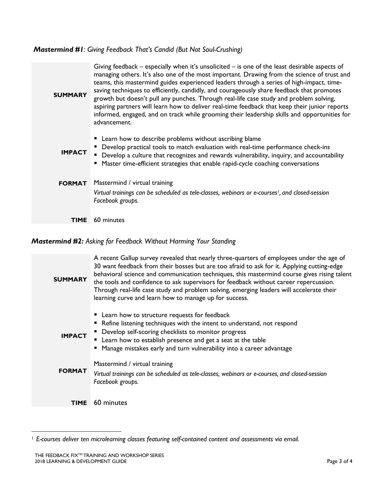# *Mastermind #1: Giving Feedback That's Candid (But Not Soul-Crushing)*

| <b>SUMMARY</b> | Giving feedback – especially when it's unsolicited – is one of the least desirable aspects of<br>managing others. It's also one of the most important. Drawing from the science of trust and<br>teams, this mastermind guides experienced leaders through a series of high-impact, time-<br>saving techniques to efficiently, candidly, and courageously share feedback that promotes<br>growth but doesn't pull any punches. Through real-life case study and problem solving,<br>aspiring partners will learn how to deliver real-time feedback that keep their junior reports<br>informed, engaged, and on track while grooming their leadership skills and opportunities for<br>advancement. |
|----------------|--------------------------------------------------------------------------------------------------------------------------------------------------------------------------------------------------------------------------------------------------------------------------------------------------------------------------------------------------------------------------------------------------------------------------------------------------------------------------------------------------------------------------------------------------------------------------------------------------------------------------------------------------------------------------------------------------|
| <b>IMPACT</b>  | Learn how to describe problems without ascribing blame<br>Develop practical tools to match evaluation with real-time performance check-ins<br>• Develop a culture that recognizes and rewards vulnerability, inquiry, and accountability<br>Master time-efficient strategies that enable rapid-cycle coaching conversations                                                                                                                                                                                                                                                                                                                                                                      |
| <b>FORMAT</b>  | Mastermind / virtual training                                                                                                                                                                                                                                                                                                                                                                                                                                                                                                                                                                                                                                                                    |
|                | Virtual trainings can be scheduled as tele-classes, webinars or e-courses <sup>1</sup> , and closed-session<br>Facebook groups.                                                                                                                                                                                                                                                                                                                                                                                                                                                                                                                                                                  |
| <b>TIME</b>    | 60 minutes                                                                                                                                                                                                                                                                                                                                                                                                                                                                                                                                                                                                                                                                                       |

# *Mastermind #2: Asking for Feedback Without Harming Your Standing*

| <b>SUMMARY</b> | A recent Gallup survey revealed that nearly three-quarters of employees under the age of<br>30 want feedback from their bosses but are too afraid to ask for it. Applying cutting-edge<br>behavioral science and communication techniques, this mastermind course gives rising talent<br>the tools and confidence to ask supervisors for feedback without career repercussion.<br>Through real-life case study and problem solving, emerging leaders will accelerate their<br>learning curve and learn how to manage up for success. |
|----------------|--------------------------------------------------------------------------------------------------------------------------------------------------------------------------------------------------------------------------------------------------------------------------------------------------------------------------------------------------------------------------------------------------------------------------------------------------------------------------------------------------------------------------------------|
| <b>IMPACT</b>  | <b>E</b> Learn how to structure requests for feedback<br>Refine listening techniques with the intent to understand, not respond<br>• Develop self-scoring checklists to monitor progress<br>• Learn how to establish presence and get a seat at the table<br>" Manage mistakes early and turn vulnerability into a career advantage                                                                                                                                                                                                  |
| <b>FORMAT</b>  | Mastermind / virtual training<br>Virtual trainings can be scheduled as tele-classes, webinars or e-courses, and closed-session<br>Facebook groups.                                                                                                                                                                                                                                                                                                                                                                                   |
| <b>TIME</b>    | 60 minutes                                                                                                                                                                                                                                                                                                                                                                                                                                                                                                                           |

<sup>1</sup> *E-courses deliver ten microlearning classes featuring self-contained content and assessments via email.* 

 $\overline{a}$